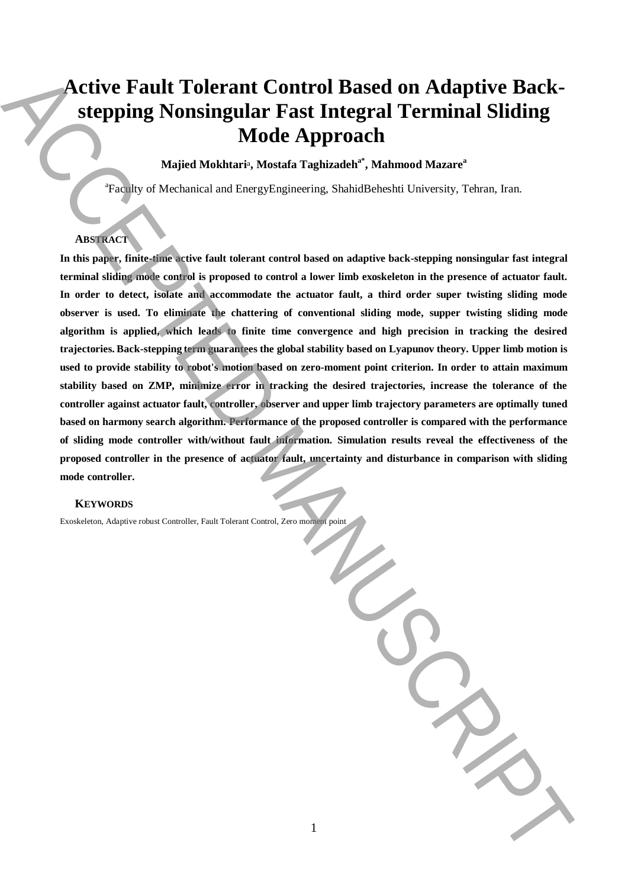# **Active Fault Tolerant Control Based on Adaptive Backstepping Nonsingular Fast Integral Terminal Sliding Mode Approach**

# **Majied Mokhtari**a**, Mostafa Taghizadeha\*, Mahmood Mazare<sup>a</sup>**

<sup>a</sup>Faculty of Mechanical and EnergyEngineering, ShahidBeheshti University, Tehran, Iran.

# **ABSTRACT**

**In this paper, finite-time active fault tolerant control based on adaptive back-stepping nonsingular fast integral terminal sliding mode control is proposed to control a lower limb exoskeleton in the presence of actuator fault. In order to detect, isolate and accommodate the actuator fault, a third order super twisting sliding mode observer is used. To eliminate the chattering of conventional sliding mode, supper twisting sliding mode algorithm is applied, which leads to finite time convergence and high precision in tracking the desired trajectories. Back-stepping term guarantees the global stability based on Lyapunov theory. Upper limb motion is used to provide stability to robot's motion based on zero-moment point criterion. In order to attain maximum stability based on ZMP, minimize error in tracking the desired trajectories, increase the tolerance of the controller against actuator fault, controller, observer and upper limb trajectory parameters are optimally tuned based on harmony search algorithm. Performance of the proposed controller is compared with the performance of sliding mode controller with/without fault information. Simulation results reveal the effectiveness of the proposed controller in the presence of actuator fault, uncertainty and disturbance in comparison with sliding mode controller. Excel of the controller, Adaptive robust Controller, Adaptive robust Controller, Adaptive robust Controller, Adaptive robust Controller, Adaptive robust Controller, Adaptive robust Controller, Adaptation in the present o** 

## **KEYWORDS**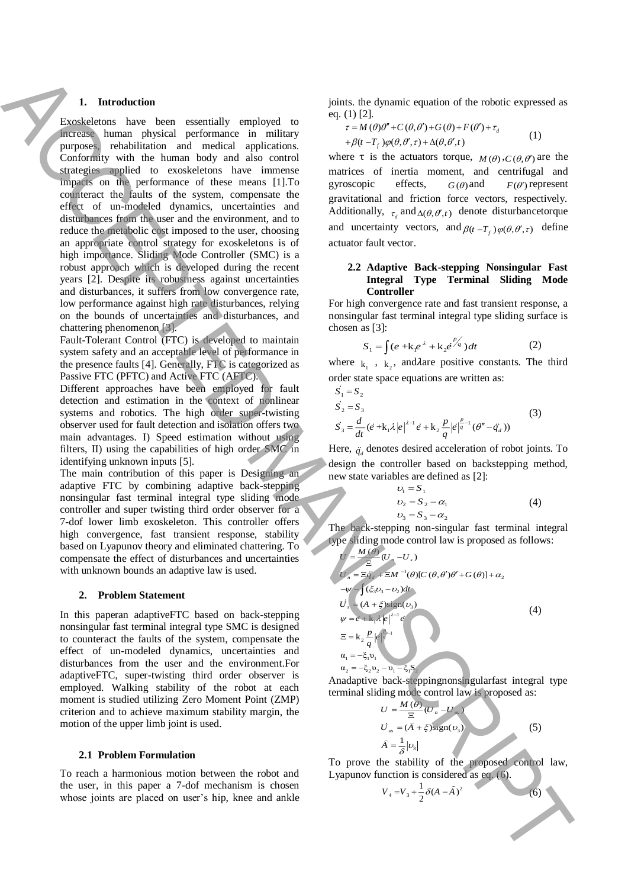# **1. Introduction**

Exoskeletons have been essentially employed to increase human physical performance in military purposes, rehabilitation and medical applications. Conformity with the human body and also control strategies applied to exoskeletons have immense impacts on the performance of these means [1].To counteract the faults of the system, compensate the effect of un-modeled dynamics, uncertainties and disturbances from the user and the environment, and to reduce the metabolic cost imposed to the user, choosing an appropriate control strategy for exoskeletons is of high importance. Sliding Mode Controller (SMC) is a robust approach which is developed during the recent years [2]. Despite its robustness against uncertainties and disturbances, it suffers from low convergence rate, low performance against high rate disturbances, relying on the bounds of uncertainties and disturbances, and chattering phenomenon [3]. **1.** Laterality the same of  $\alpha$  is  $\alpha$  is  $\alpha$  is  $\alpha$  is  $\alpha$  is  $\alpha$  is  $\alpha$  is  $\alpha$  is  $\alpha$  is  $\alpha$  is  $\alpha$  is  $\alpha$  is  $\alpha$  is  $\alpha$  is  $\alpha$  is  $\alpha$  is  $\alpha$  is  $\alpha$  is  $\alpha$  is  $\alpha$  is  $\alpha$  is  $\alpha$  is  $\alpha$  is  $\alpha$  is

Fault-Tolerant Control (FTC) is developed to maintain system safety and an acceptable level of performance in the presence faults [4]. Generally, FTC is categorized as Passive FTC (PFTC) and Active FTC (AFTC).

Different approaches have been employed for fault detection and estimation in the context of nonlinear systems and robotics. The high order super-twisting observer used for fault detection and isolation offers two main advantages. I) Speed estimation without using filters, II) using the capabilities of high order SMC in identifying unknown inputs [5].

The main contribution of this paper is Designing an adaptive FTC by combining adaptive back-stepping nonsingular fast terminal integral type sliding mode controller and super twisting third order observer for a 7-dof lower limb exoskeleton. This controller offers high convergence, fast transient response, stability based on Lyapunov theory and eliminated chattering. To compensate the effect of disturbances and uncertainties with unknown bounds an adaptive law is used.

#### **2. Problem Statement**

In this paperan adaptiveFTC based on back-stepping nonsingular fast terminal integral type SMC is designed to counteract the faults of the system, compensate the effect of un-modeled dynamics, uncertainties and disturbances from the user and the environment.For adaptiveFTC, super-twisting third order observer is employed. Walking stability of the robot at each moment is studied utilizing Zero Moment Point (ZMP) criterion and to achieve maximum stability margin, the motion of the upper limb joint is used.

## **2.1 Problem Formulation**

To reach a harmonious motion between the robot and the user, in this paper a 7-dof mechanism is chosen whose joints are placed on user's hip, knee and ankle joints. the dynamic equation of the robotic expressed as eq. (1) [2].

$$
\tau = M(\theta)\theta'' + C(\theta, \theta') + G(\theta) + F(\theta') + \tau_d
$$
  
+  $\beta(t - T_f)\varphi(\theta, \theta', \tau) + \Delta(\theta, \theta', t)$  (1)

where  $\tau$  is the actuators torque,  $M(\theta)$ ,  $C(\theta, \theta')$  are the matrices of inertia moment, and centrifugal and gyroscopic effects,  $G(\theta)$  and  $F(\theta')$  represent gravitational and friction force vectors, respectively. Additionally,  $_{\tau_d}$  and  $_{\Delta(\theta, \theta', t)}$  denote disturbancetor que and uncertainty vectors, and  $\beta(t - T_f) \varphi(\theta, \theta', \tau)$  define actuator fault vector.

#### **2.2 Adaptive Back-stepping Nonsingular Fast Integral Type Terminal Sliding Mode Controller**

For high convergence rate and fast transient response, a nonsingular fast terminal integral type sliding surface is chosen as [3]:

$$
S_1 = \int (e + k_1 e^{\lambda} + k_2 e^{\lambda q}) dt
$$
 (2)

where  $k_1$ ,  $k_2$ , and  $\lambda$  are positive constants. The third order state space equations are written as:

$$
S_1 = S_2
$$
  
\n
$$
S_2 = S_3
$$
  
\n
$$
S_3 = \frac{d}{dt} (e^t + k_1 \lambda |e|^{ \lambda - 1} e^t + k_2 \frac{p}{q} |e|^{\frac{p}{q} - 1} (\theta'' - \ddot{q}_d))
$$
\n(3)

Here,  $\ddot{q}_d$  denotes desired acceleration of robot joints. To design the controller based on backstepping method, new state variables are defined as [2]:

$$
v_1 = S_1
$$
  
\n
$$
v_2 = S_2 - \alpha_1
$$
  
\n
$$
v_3 = S_3 - \alpha_2
$$
  
\n(4)

The back-stepping non-singular fast terminal integral type sliding mode control law is proposed as follows:

$$
U = \frac{M(\theta)}{\Xi} (U_{n} - U_{s})
$$
  
\n
$$
U_{n} = \Xi \ddot{q}_{3} + \Xi M^{-1}(\theta)[C(\theta, \theta')\theta' + G(\theta)] + \alpha_{2}
$$
  
\n
$$
- \psi \left\{ (\xi_{3}v_{3} - v_{2})dt \right\}
$$
  
\n
$$
\dot{U}_{s} = (A + \xi)\text{sign}(v_{3})
$$
  
\n
$$
\psi = \dot{e} + k_{1}\lambda |\rho|^{2-1} \dot{e}
$$
  
\n
$$
\Xi = k_{2} \frac{P}{q} |\dot{q}|^{2-1}
$$
  
\n
$$
\alpha_{1} = -\xi_{1}v_{1}
$$
  
\n
$$
\alpha_{2} = -\xi_{2}v_{2} - v_{1} - \xi_{1}S_{s}
$$
\n(4)

Anadaptive back-steppingnonsingularfast integral type terminal sliding mode control law is proposed as:

$$
U = \frac{M(\theta)}{\Xi} (U_n - U_\infty)
$$
  
\n
$$
U_\infty = (\hat{A} + \xi) sign(\upsilon_3)
$$
  
\n
$$
\hat{A} = \frac{1}{\delta} |\upsilon_3|
$$
\n(5)

To prove the stability of the proposed control law, Lyapunov function is considered as eq. (6).

$$
V_4 = V_3 + \frac{1}{2}\delta(A - \hat{A})^2
$$
 (6)